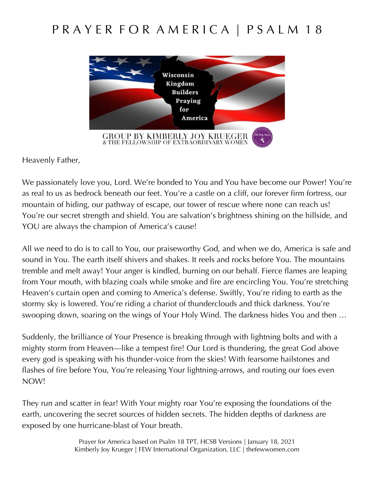## P R A Y E R F O R A M E R I C A | P S A L M 18



Heavenly Father,

We passionately love you, Lord. We're bonded to You and You have become our Power! You're as real to us as bedrock beneath our feet. You're a castle on a cliff, our forever firm fortress, our mountain of hiding, our pathway of escape, our tower of rescue where none can reach us! You're our secret strength and shield. You are salvation's brightness shining on the hillside, and YOU are always the champion of America's cause!

All we need to do is to call to You, our praiseworthy God, and when we do, America is safe and sound in You. The earth itself shivers and shakes. It reels and rocks before You. The mountains tremble and melt away! Your anger is kindled, burning on our behalf. Fierce flames are leaping from Your mouth, with blazing coals while smoke and fire are encircling You. You're stretching Heaven's curtain open and coming to America's defense. Swiftly, You're riding to earth as the stormy sky is lowered. You're riding a chariot of thunderclouds and thick darkness. You're swooping down, soaring on the wings of Your Holy Wind. The darkness hides You and then …

Suddenly, the brilliance of Your Presence is breaking through with lightning bolts and with a mighty storm from Heaven—like a tempest fire! Our Lord is thundering, the great God above every god is speaking with his thunder-voice from the skies! With fearsome hailstones and flashes of fire before You, You're releasing Your lightning-arrows, and routing our foes even NOW!

They run and scatter in fear! With Your mighty roar You're exposing the foundations of the earth, uncovering the secret sources of hidden secrets. The hidden depths of darkness are exposed by one hurricane-blast of Your breath.

> Prayer for America based on Psalm 18 TPT, HCSB Versions | January 18, 2021 Kimberly Joy Krueger | FEW International Organization, LLC | thefewwomen.com